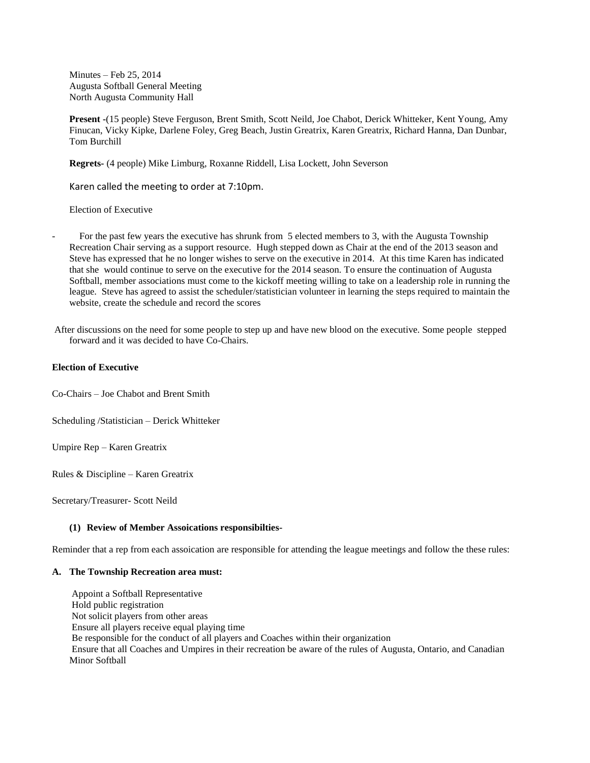Minutes – Feb 25, 2014 Augusta Softball General Meeting North Augusta Community Hall

**Present -**(15 people) Steve Ferguson, Brent Smith, Scott Neild, Joe Chabot, Derick Whitteker, Kent Young, Amy Finucan, Vicky Kipke, Darlene Foley, Greg Beach, Justin Greatrix, Karen Greatrix, Richard Hanna, Dan Dunbar, Tom Burchill

**Regrets-** (4 people) Mike Limburg, Roxanne Riddell, Lisa Lockett, John Severson

Karen called the meeting to order at 7:10pm.

Election of Executive

For the past few years the executive has shrunk from 5 elected members to 3, with the Augusta Township Recreation Chair serving as a support resource. Hugh stepped down as Chair at the end of the 2013 season and Steve has expressed that he no longer wishes to serve on the executive in 2014. At this time Karen has indicated that she would continue to serve on the executive for the 2014 season. To ensure the continuation of Augusta Softball, member associations must come to the kickoff meeting willing to take on a leadership role in running the league. Steve has agreed to assist the scheduler/statistician volunteer in learning the steps required to maintain the website, create the schedule and record the scores

After discussions on the need for some people to step up and have new blood on the executive. Some people stepped forward and it was decided to have Co-Chairs.

## **Election of Executive**

Co-Chairs – Joe Chabot and Brent Smith

Scheduling /Statistician – Derick Whitteker

Umpire Rep – Karen Greatrix

Rules & Discipline – Karen Greatrix

Secretary/Treasurer- Scott Neild

## **(1) Review of Member Assoications responsibilties-**

Reminder that a rep from each assoication are responsible for attending the league meetings and follow the these rules:

## **A. The Township Recreation area must:**

Appoint a Softball Representative Hold public registration Not solicit players from other areas Ensure all players receive equal playing time Be responsible for the conduct of all players and Coaches within their organization Ensure that all Coaches and Umpires in their recreation be aware of the rules of Augusta, Ontario, and Canadian Minor Softball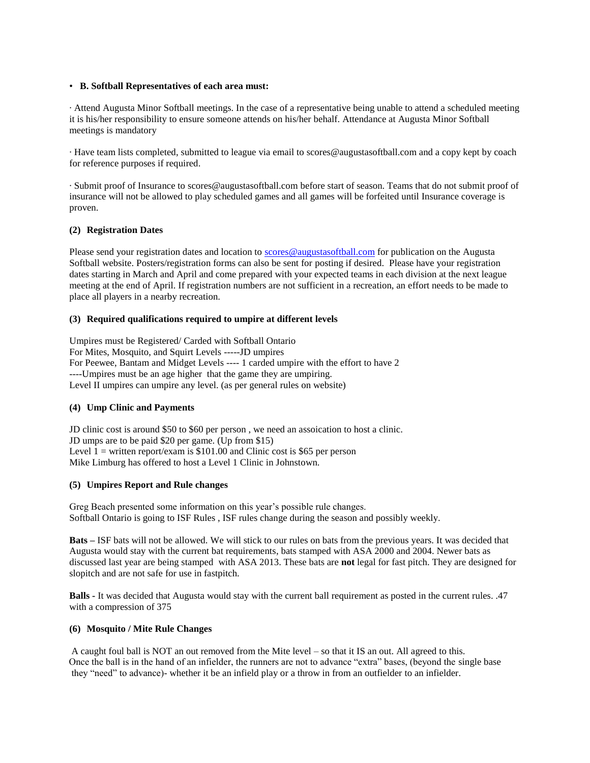## • **B. Softball Representatives of each area must:**

· Attend Augusta Minor Softball meetings. In the case of a representative being unable to attend a scheduled meeting it is his/her responsibility to ensure someone attends on his/her behalf. Attendance at Augusta Minor Softball meetings is mandatory

· Have team lists completed, submitted to league via email to scores@augustasoftball.com and a copy kept by coach for reference purposes if required.

· Submit proof of Insurance to scores@augustasoftball.com before start of season. Teams that do not submit proof of insurance will not be allowed to play scheduled games and all games will be forfeited until Insurance coverage is proven.

# **(2) Registration Dates**

Please send your registration dates and location to [scores@augustasoftball.com](mailto:scores@augustasoftball.com) for publication on the Augusta Softball website. Posters/registration forms can also be sent for posting if desired. Please have your registration dates starting in March and April and come prepared with your expected teams in each division at the next league meeting at the end of April. If registration numbers are not sufficient in a recreation, an effort needs to be made to place all players in a nearby recreation.

## **(3) Required qualifications required to umpire at different levels**

Umpires must be Registered/ Carded with Softball Ontario For Mites, Mosquito, and Squirt Levels -----JD umpires For Peewee, Bantam and Midget Levels ---- 1 carded umpire with the effort to have 2 ----Umpires must be an age higher that the game they are umpiring. Level II umpires can umpire any level. (as per general rules on website)

# **(4) Ump Clinic and Payments**

JD clinic cost is around \$50 to \$60 per person , we need an assoication to host a clinic. JD umps are to be paid \$20 per game. (Up from \$15) Level  $1 =$  written report/exam is \$101.00 and Clinic cost is \$65 per person Mike Limburg has offered to host a Level 1 Clinic in Johnstown.

## **(5) Umpires Report and Rule changes**

Greg Beach presented some information on this year's possible rule changes. Softball Ontario is going to ISF Rules , ISF rules change during the season and possibly weekly.

**Bats –** ISF bats will not be allowed. We will stick to our rules on bats from the previous years. It was decided that Augusta would stay with the current bat requirements, bats stamped with ASA 2000 and 2004. Newer bats as discussed last year are being stamped with ASA 2013. These bats are **not** legal for fast pitch. They are designed for slopitch and are not safe for use in fastpitch.

**Balls -** It was decided that Augusta would stay with the current ball requirement as posted in the current rules. .47 with a compression of 375

## **(6) Mosquito / Mite Rule Changes**

 A caught foul ball is NOT an out removed from the Mite level – so that it IS an out. All agreed to this. Once the ball is in the hand of an infielder, the runners are not to advance "extra" bases, (beyond the single base they "need" to advance)- whether it be an infield play or a throw in from an outfielder to an infielder.